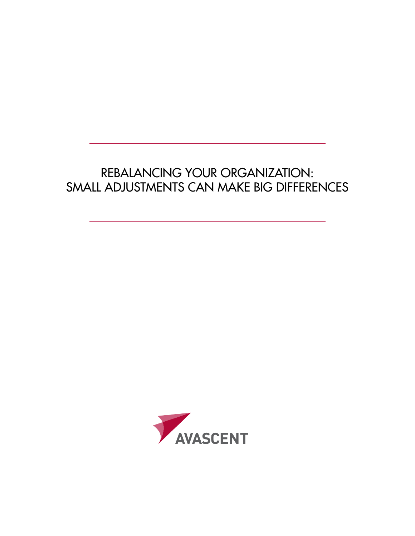# Rebalancing Your Organization: Small Adjustments Can Make Big Differences

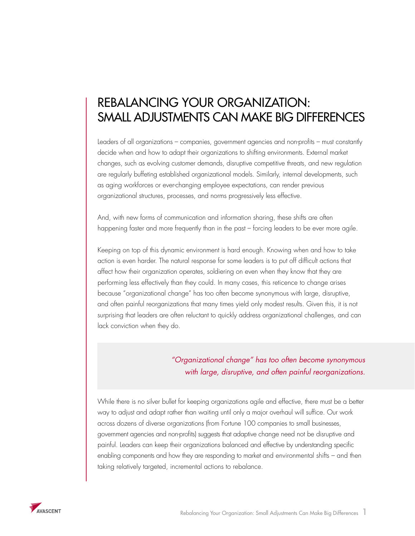# Rebalancing Your Organization: Small Adjustments Can Make Big Differences

Leaders of all organizations – companies, government agencies and non-profits – must constantly decide when and how to adapt their organizations to shifting environments. External market changes, such as evolving customer demands, disruptive competitive threats, and new regulation are regularly buffeting established organizational models. Similarly, internal developments, such as aging workforces or ever-changing employee expectations, can render previous organizational structures, processes, and norms progressively less effective.

And, with new forms of communication and information sharing, these shifts are often happening faster and more frequently than in the past – forcing leaders to be ever more agile.

Keeping on top of this dynamic environment is hard enough. Knowing when and how to take action is even harder. The natural response for some leaders is to put off difficult actions that affect how their organization operates, soldiering on even when they know that they are performing less effectively than they could. In many cases, this reticence to change arises because "organizational change" has too often become synonymous with large, disruptive, and often painful reorganizations that many times yield only modest results. Given this, it is not surprising that leaders are often reluctant to quickly address organizational challenges, and can lack conviction when they do.

# *"Organizational change" has too often become synonymous with large, disruptive, and often painful reorganizations.*

While there is no silver bullet for keeping organizations agile and effective, there must be a better way to adjust and adapt rather than waiting until only a major overhaul will suffice. Our work across dozens of diverse organizations (from Fortune 100 companies to small businesses, government agencies and non-profits) suggests that adaptive change need not be disruptive and painful. Leaders can keep their organizations balanced and effective by understanding specific enabling components and how they are responding to market and environmental shifts – and then taking relatively targeted, incremental actions to rebalance.

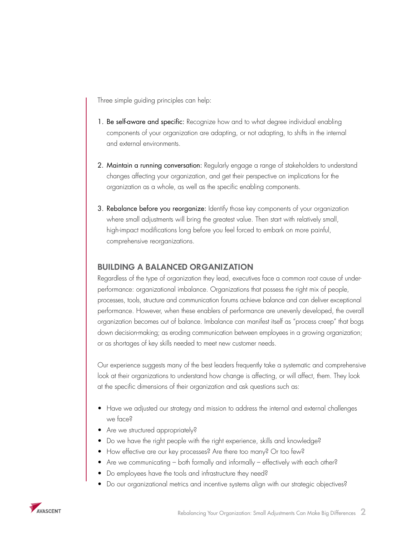Three simple guiding principles can help:

- 1. Be self-aware and specific: Recognize how and to what degree individual enabling components of your organization are adapting, or not adapting, to shifts in the internal and external environments.
- 2. Maintain a running conversation: Regularly engage a range of stakeholders to understand changes affecting your organization, and get their perspective on implications for the organization as a whole, as well as the specific enabling components.
- 3. Rebalance before you reorganize: Identify those key components of your organization where small adjustments will bring the greatest value. Then start with relatively small, high-impact modifications long before you feel forced to embark on more painful, comprehensive reorganizations.

### **BUILDING A BALANCED ORGANIZATION**

Regardless of the type of organization they lead, executives face a common root cause of underperformance: organizational imbalance. Organizations that possess the right mix of people, processes, tools, structure and communication forums achieve balance and can deliver exceptional performance. However, when these enablers of performance are unevenly developed, the overall organization becomes out of balance. Imbalance can manifest itself as "process creep" that bogs down decision-making; as eroding communication between employees in a growing organization; or as shortages of key skills needed to meet new customer needs.

Our experience suggests many of the best leaders frequently take a systematic and comprehensive look at their organizations to understand how change is affecting, or will affect, them. They look at the specific dimensions of their organization and ask questions such as:

- Have we adjusted our strategy and mission to address the internal and external challenges we face?
- Are we structured appropriately?
- Do we have the right people with the right experience, skills and knowledge?
- How effective are our key processes? Are there too many? Or too few?
- Are we communicating both formally and informally effectively with each other?
- Do employees have the tools and infrastructure they need?
- Do our organizational metrics and incentive systems align with our strategic objectives?

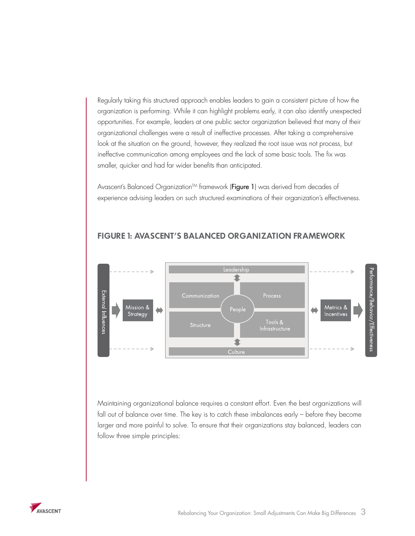Regularly taking this structured approach enables leaders to gain a consistent picture of how the organization is performing. While it can highlight problems early, it can also identify unexpected opportunities. For example, leaders at one public sector organization believed that many of their organizational challenges were a result of ineffective processes. After taking a comprehensive look at the situation on the ground, however, they realized the root issue was not process, but ineffective communication among employees and the lack of some basic tools. The fix was smaller, quicker and had far wider benefits than anticipated.

Avascent's Balanced Organization™ framework (Figure 1) was derived from decades of experience advising leaders on such structured examinations of their organization's effectiveness.



## **FIGURE 1: AVASCENT'S BALANCED ORGANIZATION FRAMEWORK**

Maintaining organizational balance requires a constant effort. Even the best organizations will fall out of balance over time. The key is to catch these imbalances early – before they become larger and more painful to solve. To ensure that their organizations stay balanced, leaders can follow three simple principles:

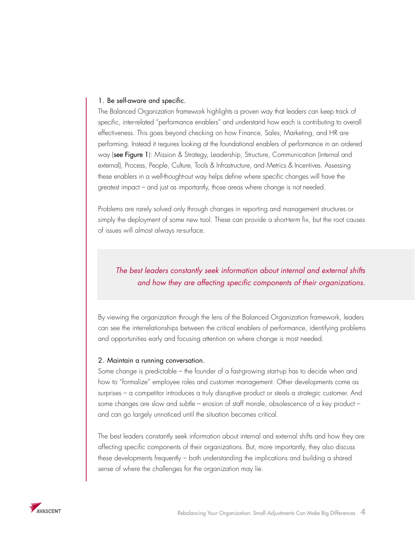#### 1. Be self-aware and specific.

The Balanced Organization framework highlights a proven way that leaders can keep track of specific, inter-related "performance enablers" and understand how each is contributing to overall effectiveness. This goes beyond checking on how Finance, Sales, Marketing, and HR are performing. Instead it requires looking at the foundational enablers of performance in an ordered way (see Figure 1): Mission & Strategy, Leadership, Structure, Communication (internal and external), Process, People, Culture, Tools & Infrastructure, and Metrics & Incentives. Assessing these enablers in a well-thought-out way helps define where specific changes will have the greatest impact – and just as importantly, those areas where change is *not* needed.

Problems are rarely solved only through changes in reporting and management structures or simply the deployment of some new tool. These can provide a short-term fix, but the root causes of issues will almost always re-surface.

# *The best leaders constantly seek information about internal and external shifts and how they are affecting specific components of their organizations.*

By viewing the organization through the lens of the Balanced Organization framework, leaders can see the interrelationships between the critical enablers of performance, identifying problems and opportunities early and focusing attention on where change is most needed.

#### 2. Maintain a running conversation.

Some change is predictable – the founder of a fast-growing start-up has to decide when and how to "formalize" employee roles and customer management. Other developments come as surprises – a competitor introduces a truly disruptive product or steals a strategic customer. And some changes are slow and subtle – erosion of staff morale, obsolescence of a key product – and can go largely unnoticed until the situation becomes critical.

The best leaders constantly seek information about internal and external shifts and how they are affecting specific components of their organizations. But, more importantly, they also discuss these developments frequently – both understanding the implications and building a shared sense of where the challenges for the organization may lie.

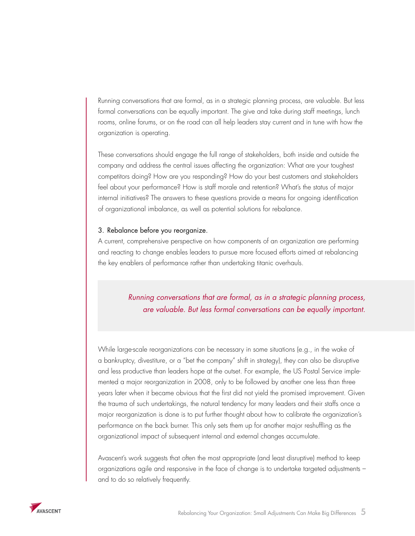Running conversations that are formal, as in a strategic planning process, are valuable. But less formal conversations can be equally important. The give and take during staff meetings, lunch rooms, online forums, or on the road can all help leaders stay current and in tune with how the organization is operating.

These conversations should engage the full range of stakeholders, both inside and outside the company and address the central issues affecting the organization: What are your toughest competitors doing? How are you responding? How do your best customers and stakeholders feel about your performance? How is staff morale and retention? What's the status of major internal initiatives? The answers to these questions provide a means for ongoing identification of organizational imbalance, as well as potential solutions for rebalance.

#### 3. Rebalance before you reorganize.

A current, comprehensive perspective on how components of an organization are performing and reacting to change enables leaders to pursue more focused efforts aimed at rebalancing the key enablers of performance rather than undertaking titanic overhauls.

# *Running conversations that are formal, as in a strategic planning process, are valuable. But less formal conversations can be equally important.*

While large-scale reorganizations can be necessary in some situations (e.g., in the wake of a bankruptcy, divestiture, or a "bet the company" shift in strategy), they can also be disruptive and less productive than leaders hope at the outset. For example, the US Postal Service implemented a major reorganization in 2008, only to be followed by another one less than three years later when it became obvious that the first did not yield the promised improvement. Given the trauma of such undertakings, the natural tendency for many leaders and their staffs once a major reorganization is done is to put further thought about how to calibrate the organization's performance on the back burner. This only sets them up for another major reshuffling as the organizational impact of subsequent internal and external changes accumulate.

Avascent's work suggests that often the most appropriate (and least disruptive) method to keep organizations agile and responsive in the face of change is to undertake targeted adjustments – and to do so relatively frequently.

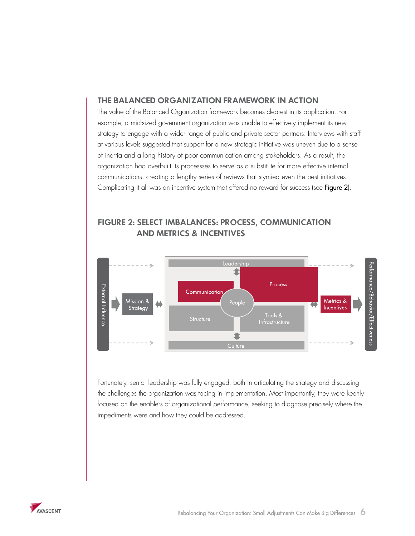#### **THE BALANCED ORGANIZATION FRAMEWORK IN ACTION**

The value of the Balanced Organization framework becomes clearest in its application. For example, a mid-sized government organization was unable to effectively implement its new strategy to engage with a wider range of public and private sector partners. Interviews with staff at various levels suggested that support for a new strategic initiative was uneven due to a sense of inertia and a long history of poor communication among stakeholders. As a result, the organization had overbuilt its processses to serve as a substitute for more effective internal communications, creating a lengthy series of reviews that stymied even the best initiatives. Complicating it all was an incentive system that offered no reward for success (see Figure 2).

# **FIGURE 2: SELECT IMBALANCES: PROCESS, COMMUNICATION AND METRICS & INCENTIVES**



Fortunately, senior leadership was fully engaged, both in articulating the strategy and discussing the challenges the organization was facing in implementation. Most importantly, they were keenly focused on the enablers of organizational performance, seeking to diagnose precisely where the impediments were and how they could be addressed.

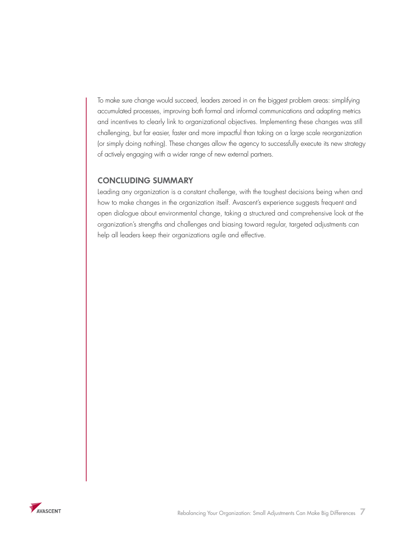To make sure change would succeed, leaders zeroed in on the biggest problem areas: simplifying accumulated processes, improving both formal and informal communications and adapting metrics and incentives to clearly link to organizational objectives. Implementing these changes was still challenging, but far easier, faster and more impactful than taking on a large scale reorganization (or simply doing nothing). These changes allow the agency to successfully execute its new strategy of actively engaging with a wider range of new external partners.

## **CONCLUDING SUMMARY**

Leading any organization is a constant challenge, with the toughest decisions being when and how to make changes in the organization itself. Avascent's experience suggests frequent and open dialogue about environmental change, taking a structured and comprehensive look at the organization's strengths and challenges and biasing toward regular, targeted adjustments can help all leaders keep their organizations agile and effective.